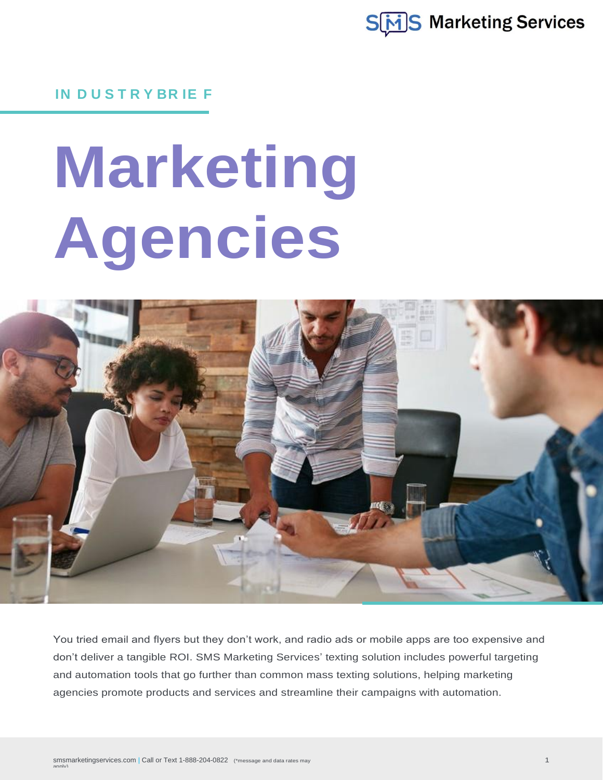

**IN D U S T R Y BR IE F**

# **Marketing Agencies**



You tried email and flyers but they don't work, and radio ads or mobile apps are too expensive and don't deliver a tangible ROI. SMS Marketing Services' texting solution includes powerful targeting and automation tools that go further than common mass texting solutions, helping marketing agencies promote products and services and streamline their campaigns with automation.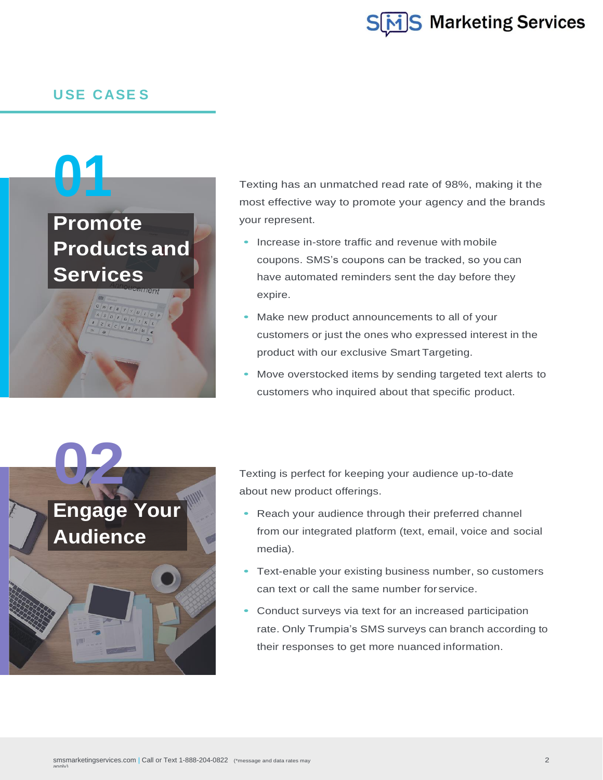

#### **U SE CASE S**

## **01**

## **Promote Products and Services**

Texting has an unmatched read rate of 98%, making it the most effective way to promote your agency and the brands your represent.

- coupons. SMS's coupons can be tracked, so you can **•** Increase in-store traffic and revenue with mobile have automated reminders sent the day before they expire.
- **•** Make new product announcements to all of your customers or just the ones who expressed interest in the product with our exclusive Smart Targeting.
- **•** Move overstocked items by sending targeted text alerts to customers who inquired about that specific product.



Texting is perfect for keeping your audience up-to-date about new product offerings.

- **•** Reach your audience through their preferred channel from our integrated platform (text, email, voice and social media).
- **•** Text-enable your existing business number, so customers can text or call the same number for service.
- **•** Conduct surveys via text for an increased participation rate. Only Trumpia's SMS surveys can branch according to their responses to get more nuanced information.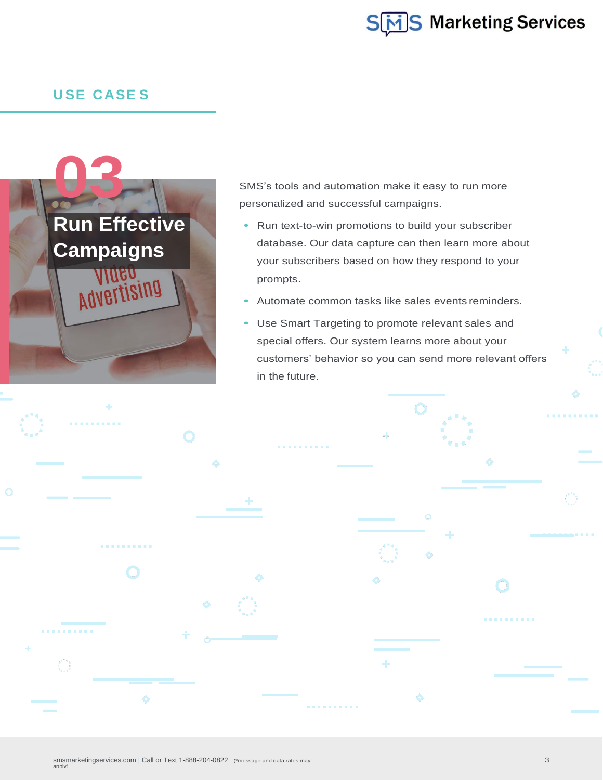

## **U SE CASE S**



. . . . . . . .

SMS's tools and automation make it easy to run more personalized and successful campaigns.

- **•** Run text-to-win promotions to build your subscriber database. Our data capture can then learn more about your subscribers based on how they respond to your prompts.
- **•** Automate common tasks like sales events reminders.

. . . . . . .

**•** Use Smart Targeting to promote relevant sales and special offers. Our system learns more about your customers' behavior so you can send more relevant offers in the future.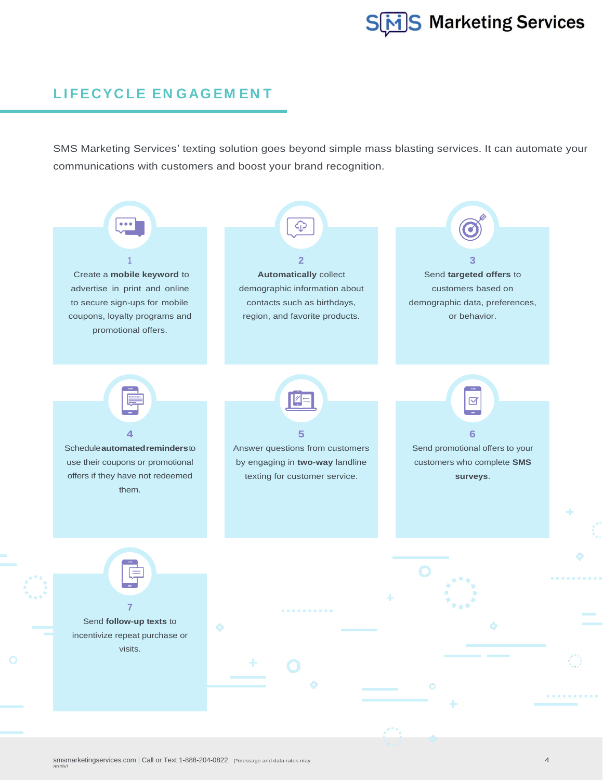

### **LI FE CYC LE EN GAG EM EN T**

SMS Marketing Services' texting solution goes beyond simple mass blasting services. It can automate your communications with customers and boost your brand recognition.